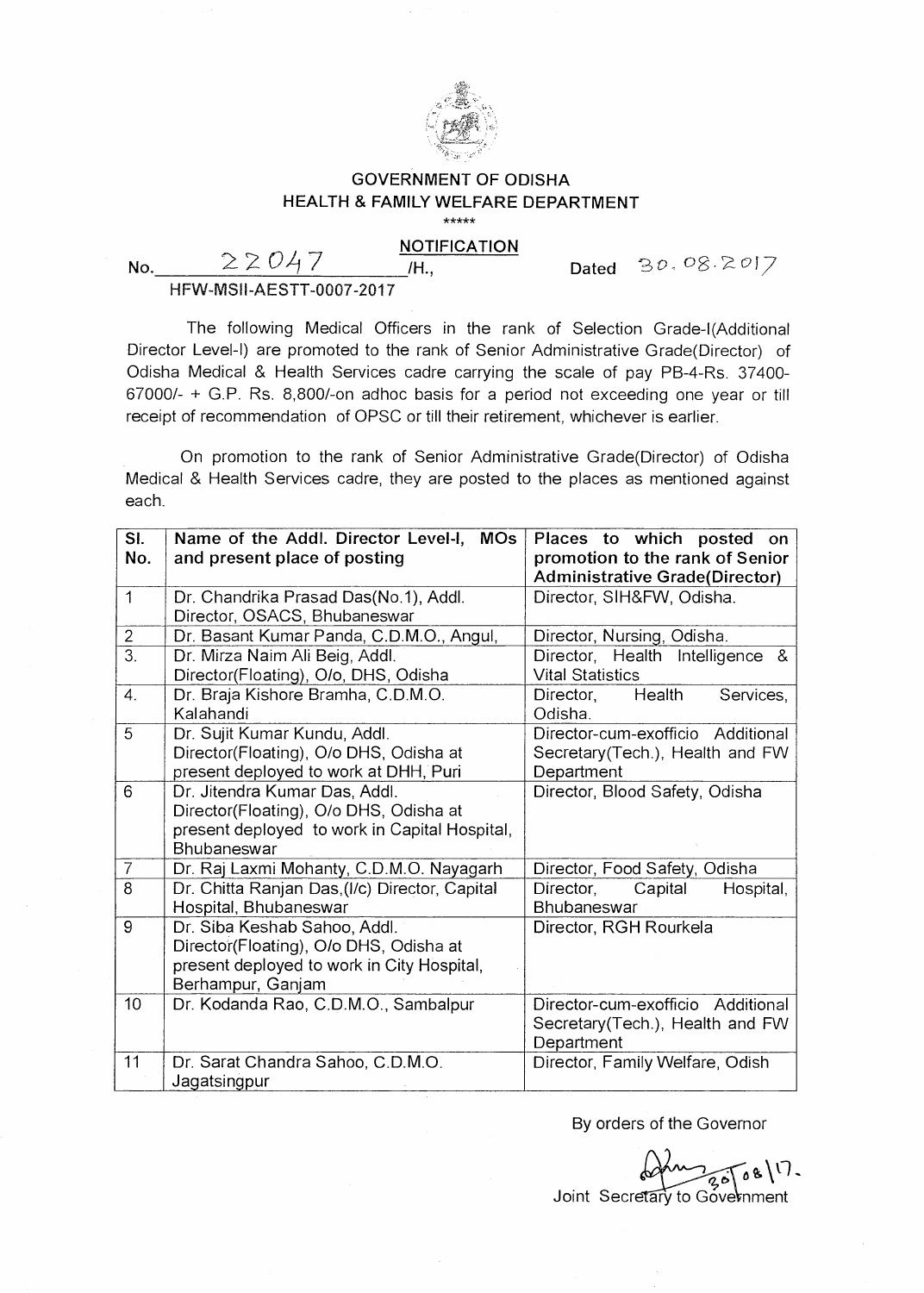

## **GOVERNMENT OF ODISHA HEALTH & FAMILY WELFARE DEPARTMENT**  \*\*\*\*\*

## **NOTIFICATION**  No.  $22047$  **Mo.**

Dated  $30.08.2017$ 

HFW-MSII-AESTT-0007-2017

The following Medical Officers in the rank of Selection Grade-((Additional Director Level-I) are promoted to the rank of Senior Administrative Grade(Director) of Odisha Medical & Health Services cadre carrying the scale of pay PB-4-Rs. 37400- 67000/- + G.P. Rs. 8,800/-on adhoc basis for a period not exceeding one year or till receipt of recommendation of OPSC or till their retirement, whichever is earlier.

On promotion to the rank of Senior Administrative Grade(Director) of Odisha Medical & Health Services cadre, they are posted to the places as mentioned against each.

| SI.              | Name of the Addl. Director Level-I, MOs        | Places to which posted on             |
|------------------|------------------------------------------------|---------------------------------------|
| No.              | and present place of posting                   | promotion to the rank of Senior       |
|                  |                                                | <b>Administrative Grade(Director)</b> |
| $\mathbf{1}$     | Dr. Chandrika Prasad Das(No.1), Addl.          | Director, SIH&FW, Odisha.             |
|                  | Director, OSACS, Bhubaneswar                   |                                       |
| $\overline{2}$   | Dr. Basant Kumar Panda, C.D.M.O., Angul,       | Director, Nursing, Odisha.            |
| $\overline{3}$ . | Dr. Mirza Naim Ali Beig, Addl.                 | Director, Health Intelligence &       |
|                  | Director(Floating), O/o, DHS, Odisha           | <b>Vital Statistics</b>               |
| $\overline{4}$ . | Dr. Braja Kishore Bramha, C.D.M.O.             | Health<br>Services,<br>Director,      |
|                  | Kalahandi                                      | Odisha.                               |
| 5                | Dr. Sujit Kumar Kundu, Addl.                   | Director-cum-exofficio Additional     |
|                  | Director(Floating), O/o DHS, Odisha at         | Secretary(Tech.), Health and FW       |
|                  | present deployed to work at DHH, Puri          | Department                            |
| 6                | Dr. Jitendra Kumar Das, Addl.                  | Director, Blood Safety, Odisha        |
|                  | Director(Floating), O/o DHS, Odisha at         |                                       |
|                  | present deployed to work in Capital Hospital,  |                                       |
|                  | <b>Bhubaneswar</b>                             |                                       |
| $\overline{7}$   | Dr. Raj Laxmi Mohanty, C.D.M.O. Nayagarh       | Director, Food Safety, Odisha         |
| 8                | Dr. Chitta Ranjan Das, (I/c) Director, Capital | Director,<br>Capital<br>Hospital,     |
|                  | Hospital, Bhubaneswar                          | Bhubaneswar                           |
| 9                | Dr. Siba Keshab Sahoo, Addl.                   | Director, RGH Rourkela                |
|                  | Director(Floating), O/o DHS, Odisha at         |                                       |
|                  | present deployed to work in City Hospital,     |                                       |
|                  | Berhampur, Ganjam                              |                                       |
| 10               | Dr. Kodanda Rao, C.D.M.O., Sambalpur           | Director-cum-exofficio Additional     |
|                  |                                                | Secretary (Tech.), Health and FW      |
|                  |                                                | Department                            |
| 11               | Dr. Sarat Chandra Sahoo, C.D.M.O.              | Director, Family Welfare, Odish       |
|                  | Jagatsingpur                                   |                                       |

By orders of the Governor

Joint Secretary to Government